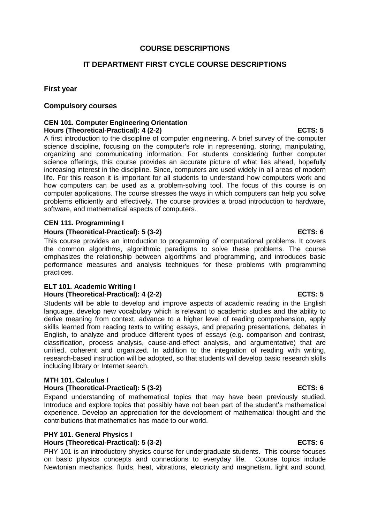### **COURSE DESCRIPTIONS**

# **IT DEPARTMENT FIRST CYCLE COURSE DESCRIPTIONS**

### **First year**

### **Compulsory courses**

### **CEN 101. Computer Engineering Orientation Hours (Theoretical-Practical): 4 (2-2) ECTS: 5**

A first introduction to the discipline of computer engineering. A brief survey of the computer science discipline, focusing on the computer's role in representing, storing, manipulating, organizing and communicating information. For students considering further computer science offerings, this course provides an accurate picture of what lies ahead, hopefully increasing interest in the discipline. Since, computers are used widely in all areas of modern life. For this reason it is important for all students to understand how computers work and how computers can be used as a problem-solving tool. The focus of this course is on computer applications. The course stresses the ways in which computers can help you solve problems efficiently and effectively. The course provides a broad introduction to hardware, software, and mathematical aspects of computers.

### **CEN 111. Programming I**

### **Hours (Theoretical-Practical): 5 (3-2) ECTS: 6**

This course provides an introduction to programming of computational problems. It covers the common algorithms, algorithmic paradigms to solve these problems. The course emphasizes the relationship between algorithms and programming, and introduces basic performance measures and analysis techniques for these problems with programming practices.

### **ELT 101. Academic Writing I Hours (Theoretical-Practical): 4 (2-2) ECTS: 5**

Students will be able to develop and improve aspects of academic reading in the English language, develop new vocabulary which is relevant to academic studies and the ability to derive meaning from context, advance to a higher level of reading comprehension, apply skills learned from reading texts to writing essays, and preparing presentations, debates in English, to analyze and produce different types of essays (e.g. comparison and contrast, classification, process analysis, cause-and-effect analysis, and argumentative) that are unified, coherent and organized. In addition to the integration of reading with writing, research-based instruction will be adopted, so that students will develop basic research skills including library or Internet search.

### **MTH 101. Calculus I**

### **Hours (Theoretical-Practical): 5 (3-2) ECTS: 6**

Expand understanding of mathematical topics that may have been previously studied. Introduce and explore topics that possibly have not been part of the student's mathematical experience. Develop an appreciation for the development of mathematical thought and the contributions that mathematics has made to our world.

### **PHY 101. General Physics I**

### **Hours (Theoretical-Practical): 5 (3-2) ECTS: 6**

PHY 101 is an introductory physics course for undergraduate students. This course focuses on basic physics concepts and connections to everyday life. Course topics include Newtonian mechanics, fluids, heat, vibrations, electricity and magnetism, light and sound,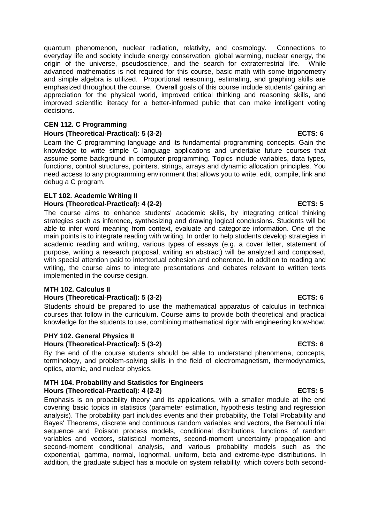quantum phenomenon, nuclear radiation, relativity, and cosmology. Connections to everyday life and society include energy conservation, global warming, nuclear energy, the origin of the universe, pseudoscience, and the search for extraterrestrial life. While advanced mathematics is not required for this course, basic math with some trigonometry and simple algebra is utilized. Proportional reasoning, estimating, and graphing skills are emphasized throughout the course. Overall goals of this course include students' gaining an appreciation for the physical world, improved critical thinking and reasoning skills, and improved scientific literacy for a better-informed public that can make intelligent voting decisions.

### **CEN 112. C Programming**

### Hours (Theoretical-Practical): 5 (3-2) **ECTS: 6** ECTS: 6

Learn the C programming language and its fundamental programming concepts. Gain the knowledge to write simple C language applications and undertake future courses that assume some background in computer programming. Topics include variables, data types, functions, control structures, pointers, strings, arrays and dynamic allocation principles. You need access to any programming environment that allows you to write, edit, compile, link and debug a C program.

### **ELT 102. Academic Writing II Hours (Theoretical-Practical): 4 (2-2) ECTS: 5**

The course aims to enhance students' academic skills, by integrating critical thinking strategies such as inference, synthesizing and drawing logical conclusions. Students will be able to infer word meaning from context, evaluate and categorize information. One of the main points is to integrate reading with writing. In order to help students develop strategies in academic reading and writing, various types of essays (e.g. a cover letter, statement of purpose, writing a research proposal, writing an abstract) will be analyzed and composed, with special attention paid to intertextual cohesion and coherence. In addition to reading and writing, the course aims to integrate presentations and debates relevant to written texts implemented in the course design.

### **MTH 102. Calculus II**

### **Hours (Theoretical-Practical): 5 (3-2) ECTS: 6**

Students should be prepared to use the mathematical apparatus of calculus in technical courses that follow in the curriculum. Course aims to provide both theoretical and practical knowledge for the students to use, combining mathematical rigor with engineering know-how.

### **PHY 102. General Physics II Hours (Theoretical-Practical): 5 (3-2) ECTS: 6**

By the end of the course students should be able to understand phenomena, concepts, terminology, and problem-solving skills in the field of electromagnetism, thermodynamics, optics, atomic, and nuclear physics.

### **MTH 104. Probability and Statistics for Engineers Hours (Theoretical-Practical): 4 (2-2) ECTS: 5**

Emphasis is on probability theory and its applications, with a smaller module at the end covering basic topics in statistics (parameter estimation, hypothesis testing and regression analysis). The probability part includes events and their probability, the Total Probability and Bayes' Theorems, discrete and continuous random variables and vectors, the Bernoulli trial sequence and Poisson process models, conditional distributions, functions of random variables and vectors, statistical moments, second-moment uncertainty propagation and second-moment conditional analysis, and various probability models such as the exponential, gamma, normal, lognormal, uniform, beta and extreme-type distributions. In addition, the graduate subject has a module on system reliability, which covers both second-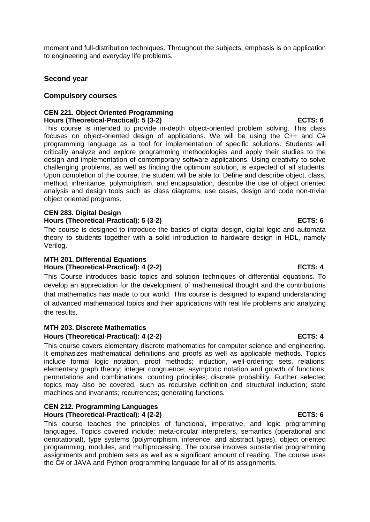moment and full-distribution techniques. Throughout the subjects, emphasis is on application to engineering and everyday life problems.

# **Second year**

# **Compulsory courses**

### **CEN 221. Object Oriented Programming Hours (Theoretical-Practical): 5 (3-2) ECTS: 6**

This course is intended to provide in-depth object-oriented problem solving. This class focuses on object-oriented design of applications. We will be using the C++ and C# programming language as a tool for implementation of specific solutions. Students will critically analyze and explore programming methodologies and apply their studies to the design and implementation of contemporary software applications. Using creativity to solve challenging problems, as well as finding the optimum solution, is expected of all students. Upon completion of the course, the student will be able to: Define and describe object, class, method, inheritance, polymorphism, and encapsulation, describe the use of object oriented analysis and design tools such as class diagrams, use cases, design and code non-trivial object oriented programs.

# **CEN 283. Digital Design**

### **Hours (Theoretical-Practical): 5 (3-2) ECTS: 6**

The course is designed to introduce the basics of digital design, digital logic and automata theory to students together with a solid introduction to hardware design in HDL, namely Verilog.

### **MTH 201. Differential Equations** Hours (Theoretical-Practical): 4 (2-2) ECTS: 4

This Course introduces basic topics and solution techniques of differential equations. To develop an appreciation for the development of mathematical thought and the contributions that mathematics has made to our world. This course is designed to expand understanding of advanced mathematical topics and their applications with real life problems and analyzing the results.

### **MTH 203. Discrete Mathematics**

# Hours (Theoretical-Practical): 4 (2-2) ECTS: 4

This course covers elementary discrete mathematics for computer science and engineering. It emphasizes mathematical definitions and proofs as well as applicable methods. Topics include formal logic notation, proof methods; induction, well-ordering; sets, relations; elementary graph theory; integer congruence; asymptotic notation and growth of functions; permutations and combinations, counting principles; discrete probability. Further selected topics may also be covered, such as recursive definition and structural induction; state machines and invariants; recurrences; generating functions.

### **CEN 212. Programming Languages** Hours (Theoretical-Practical): 4 (2-2) **ECTS: 6**

This course teaches the principles of functional, imperative, and logic programming languages. Topics covered include: meta-circular interpreters, semantics (operational and denotational), type systems (polymorphism, inference, and abstract types), object oriented programming, modules, and multiprocessing. The course involves substantial programming assignments and problem sets as well as a significant amount of reading. The course uses the C# or JAVA and Python programming language for all of its assignments.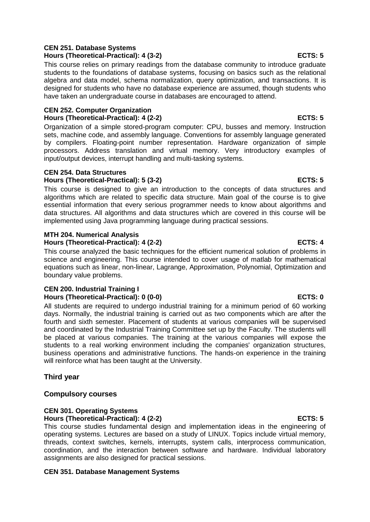### **CEN 251. Database Systems Hours (Theoretical-Practical): 4 (3-2) ECTS: 5**

This course relies on primary readings from the database community to introduce graduate students to the foundations of database systems, focusing on basics such as the relational algebra and data model, schema normalization, query optimization, and transactions. It is designed for students who have no database experience are assumed, though students who have taken an undergraduate course in databases are encouraged to attend.

### **CEN 252. Computer Organization** Hours (Theoretical-Practical): 4 (2-2) **ECTS: 5**

Organization of a simple stored-program computer: CPU, busses and memory. Instruction sets, machine code, and assembly language. Conventions for assembly language generated by compilers. Floating-point number representation. Hardware organization of simple processors. Address translation and virtual memory. Very introductory examples of input/output devices, interrupt handling and multi-tasking systems.

# **CEN 254. Data Structures**

# **Hours (Theoretical-Practical): 5 (3-2) ECTS: 5**

This course is designed to give an introduction to the concepts of data structures and algorithms which are related to specific data structure. Main goal of the course is to give essential information that every serious programmer needs to know about algorithms and data structures. All algorithms and data structures which are covered in this course will be implemented using Java programming language during practical sessions.

# **MTH 204. Numerical Analysis**

# Hours (Theoretical-Practical): 4 (2-2) ECTS: 4

This course analyzed the basic techniques for the efficient numerical solution of problems in science and engineering. This course intended to cover usage of matlab for mathematical equations such as linear, non-linear, Lagrange, Approximation, Polynomial, Optimization and boundary value problems.

# **CEN 200. Industrial Training I** Hours (Theoretical-Practical): 0 (0-0) **ECTS: 0**

All students are required to undergo industrial training for a minimum period of 60 working days. Normally, the industrial training is carried out as two components which are after the fourth and sixth semester. Placement of students at various companies will be supervised and coordinated by the Industrial Training Committee set up by the Faculty. The students will be placed at various companies. The training at the various companies will expose the students to a real working environment including the companies' organization structures, business operations and administrative functions. The hands-on experience in the training will reinforce what has been taught at the University.

# **Third year**

# **Compulsory courses**

### **CEN 301. Operating Systems Hours (Theoretical-Practical): 4 (2-2) ECTS: 5**

This course studies fundamental design and implementation ideas in the engineering of operating systems. Lectures are based on a study of LINUX. Topics include virtual memory, threads, context switches, kernels, interrupts, system calls, interprocess communication, coordination, and the interaction between software and hardware. Individual laboratory assignments are also designed for practical sessions.

# **CEN 351. Database Management Systems**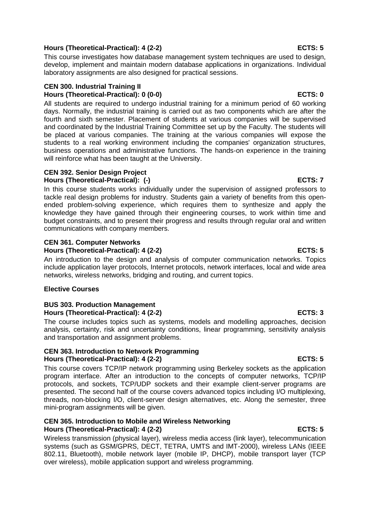# Hours (Theoretical-Practical): 4 (2-2) **ECTS: 5** ECTS: 5

This course investigates how database management system techniques are used to design, develop, implement and maintain modern database applications in organizations. Individual laboratory assignments are also designed for practical sessions.

### **CEN 300. Industrial Training II Hours (Theoretical-Practical): 0 (0-0) ECTS: 0**

All students are required to undergo industrial training for a minimum period of 60 working days. Normally, the industrial training is carried out as two components which are after the fourth and sixth semester. Placement of students at various companies will be supervised and coordinated by the Industrial Training Committee set up by the Faculty. The students will be placed at various companies. The training at the various companies will expose the students to a real working environment including the companies' organization structures, business operations and administrative functions. The hands-on experience in the training will reinforce what has been taught at the University.

### **CEN 392. Senior Design Project** Hours (Theoretical-Practical): (-) example of the set of the set of the set of the set of the set of the set of the set of the set of the set of the set of the set of the set of the set of the set of the set of the set of

In this course students works individually under the supervision of assigned professors to tackle real design problems for industry. Students gain a variety of benefits from this openended problem-solving experience, which requires them to synthesize and apply the knowledge they have gained through their engineering courses, to work within time and budget constraints, and to present their progress and results through regular oral and written communications with company members.

# **CEN 361. Computer Networks**

### Hours (Theoretical-Practical): 4 (2-2) **ECTS: 5**

An introduction to the design and analysis of computer communication networks. Topics include application layer protocols, Internet protocols, network interfaces, local and wide area networks, wireless networks, bridging and routing, and current topics.

### **Elective Courses**

### **BUS 303. Production Management Hours (Theoretical-Practical): 4 (2-2) ECTS: 3**

The course includes topics such as systems, models and modelling approaches, decision analysis, certainty, risk and uncertainty conditions, linear programming, sensitivity analysis and transportation and assignment problems.

# **CEN 363. Introduction to Network Programming Hours (Theoretical-Practical): 4 (2-2) ECTS: 5**

This course covers TCP/IP network programming using Berkeley sockets as the application program interface. After an introduction to the concepts of computer networks, TCP/IP protocols, and sockets, TCP/UDP sockets and their example client-server programs are presented. The second half of the course covers advanced topics including I/O multiplexing, threads, non-blocking I/O, client-server design alternatives, etc. Along the semester, three mini-program assignments will be given.

### **CEN 365. Introduction to Mobile and Wireless Networking Hours (Theoretical-Practical): 4 (2-2) ECTS: 5**

Wireless transmission (physical layer), wireless media access (link layer), telecommunication systems (such as GSM/GPRS, DECT, TETRA, UMTS and IMT-2000), wireless LANs (IEEE 802.11, Bluetooth), mobile network layer (mobile IP, DHCP), mobile transport layer (TCP over wireless), mobile application support and wireless programming.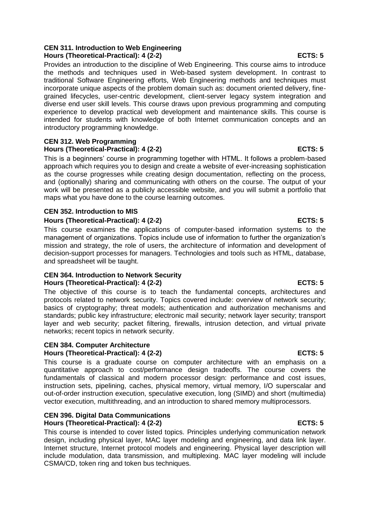### **CEN 311. Introduction to Web Engineering Hours (Theoretical-Practical): 4 (2-2) ECTS: 5**

Provides an introduction to the discipline of Web Engineering. This course aims to introduce the methods and techniques used in Web-based system development. In contrast to traditional Software Engineering efforts, Web Engineering methods and techniques must incorporate unique aspects of the problem domain such as: document oriented delivery, finegrained lifecycles, user-centric development, client-server legacy system integration and diverse end user skill levels. This course draws upon previous programming and computing experience to develop practical web development and maintenance skills. This course is intended for students with knowledge of both Internet communication concepts and an introductory programming knowledge.

# **CEN 312. Web Programming Hours (Theoretical-Practical): 4 (2-2) ECTS: 5**

This is a beginners' course in programming together with HTML. It follows a problem-based approach which requires you to design and create a website of ever-increasing sophistication as the course progresses while creating design documentation, reflecting on the process, and (optionally) sharing and communicating with others on the course. The output of your work will be presented as a publicly accessible website, and you will submit a portfolio that maps what you have done to the course learning outcomes.

### **CEN 352. Introduction to MIS**

### **Hours (Theoretical-Practical): 4 (2-2) ECTS: 5**

This course examines the applications of computer-based information systems to the management of organizations. Topics include use of information to further the organization's mission and strategy, the role of users, the architecture of information and development of decision-support processes for managers. Technologies and tools such as HTML, database, and spreadsheet will be taught.

### **CEN 364. Introduction to Network Security Hours (Theoretical-Practical): 4 (2-2) ECTS: 5**

The objective of this course is to teach the fundamental concepts, architectures and protocols related to network security. Topics covered include: overview of network security; basics of cryptography; threat models; authentication and authorization mechanisms and standards; public key infrastructure; electronic mail security; network layer security; transport layer and web security; packet filtering, firewalls, intrusion detection, and virtual private networks; recent topics in network security.

### **CEN 384. Computer Architecture** Hours (Theoretical-Practical): 4 (2-2) **ECTS: 5**

This course is a graduate course on computer architecture with an emphasis on a quantitative approach to cost/performance design tradeoffs. The course covers the fundamentals of classical and modern processor design: performance and cost issues, instruction sets, pipelining, caches, physical memory, virtual memory, I/O superscalar and out-of-order instruction execution, speculative execution, long (SIMD) and short (multimedia) vector execution, multithreading, and an introduction to shared memory multiprocessors.

### **CEN 396. Digital Data Communications Hours (Theoretical-Practical): 4 (2-2) ECTS: 5**

This course is intended to cover listed topics. Principles underlying communication network design, including physical layer, MAC layer modeling and engineering, and data link layer. Internet structure, Internet protocol models and engineering. Physical layer description will include modulation, data transmission, and multiplexing. MAC layer modeling will include CSMA/CD, token ring and token bus techniques.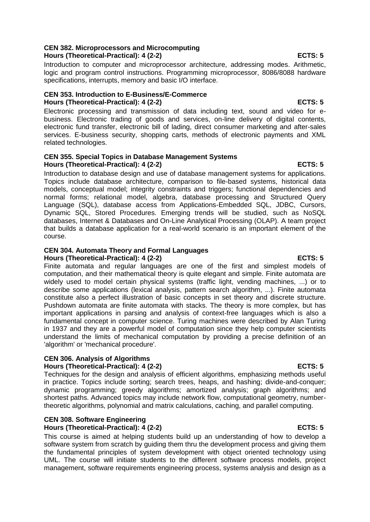# **CEN 382. Microprocessors and Microcomputing Hours (Theoretical-Practical): 4 (2-2) ECTS: 5**

Introduction to computer and microprocessor architecture, addressing modes. Arithmetic, logic and program control instructions. Programming microprocessor, 8086/8088 hardware specifications, interrupts, memory and basic I/O interface.

# **CEN 353. Introduction to E-Business/E-Commerce Hours (Theoretical-Practical): 4 (2-2) ECTS: 5**

Electronic processing and transmission of data including text, sound and video for ebusiness. Electronic trading of goods and services, on-line delivery of digital contents, electronic fund transfer, electronic bill of lading, direct consumer marketing and after-sales services. E-business security, shopping carts, methods of electronic payments and XML related technologies.

### **CEN 355. Special Topics in Database Management Systems Hours (Theoretical-Practical): 4 (2-2) ECTS: 5**

Introduction to database design and use of database management systems for applications. Topics include database architecture, comparison to file-based systems, historical data models, conceptual model; integrity constraints and triggers; functional dependencies and normal forms; relational model, algebra, database processing and Structured Query Language (SQL), database access from Applications-Embedded SQL, JDBC, Cursors, Dynamic SQL, Stored Procedures. Emerging trends will be studied, such as NoSQL databases, Internet & Databases and On-Line Analytical Processing (OLAP). A team project that builds a database application for a real-world scenario is an important element of the course.

# **CEN 304. Automata Theory and Formal Languages**

**Hours (Theoretical-Practical): 4 (2-2) ECTS: 5**

Finite automata and regular languages are one of the first and simplest models of computation, and their mathematical theory is quite elegant and simple. Finite automata are widely used to model certain physical systems (traffic light, vending machines, ...) or to describe some applications (lexical analysis, pattern search algorithm, ...). Finite automata constitute also a perfect illustration of basic concepts in set theory and discrete structure. Pushdown automata are finite automata with stacks. The theory is more complex, but has important applications in parsing and analysis of context-free languages which is also a fundamental concept in computer science. Turing machines were described by Alan Turing in 1937 and they are a powerful model of computation since they help computer scientists understand the limits of mechanical computation by providing a precise definition of an 'algorithm' or 'mechanical procedure'.

# **CEN 306. Analysis of Algorithms**

**Hours (Theoretical-Practical): 4 (2-2) ECTS: 5**

Techniques for the design and analysis of efficient algorithms, emphasizing methods useful in practice. Topics include sorting; search trees, heaps, and hashing; divide-and-conquer; dynamic programming; greedy algorithms; amortized analysis; graph algorithms; and shortest paths. Advanced topics may include network flow, computational geometry, numbertheoretic algorithms, polynomial and matrix calculations, caching, and parallel computing.

# **CEN 308. Software Engineering**

# Hours (Theoretical-Practical): 4 (2-2) **ECTS: 5**

This course is aimed at helping students build up an understanding of how to develop a software system from scratch by guiding them thru the development process and giving them the fundamental principles of system development with object oriented technology using UML. The course will initiate students to the different software process models, project management, software requirements engineering process, systems analysis and design as a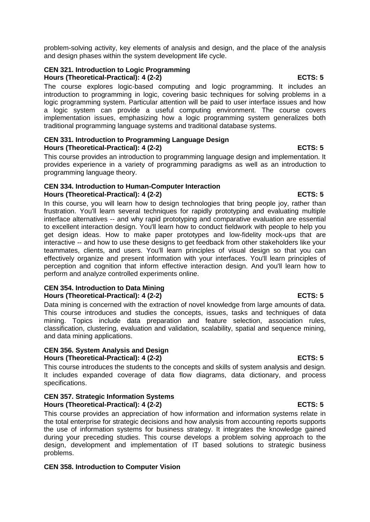problem-solving activity, key elements of analysis and design, and the place of the analysis and design phases within the system development life cycle.

# **CEN 321. Introduction to Logic Programming**

The course explores logic-based computing and logic programming. It includes an introduction to programming in logic, covering basic techniques for solving problems in a logic programming system. Particular attention will be paid to user interface issues and how a logic system can provide a useful computing environment. The course covers implementation issues, emphasizing how a logic programming system generalizes both traditional programming language systems and traditional database systems.

### **CEN 331. Introduction to Programming Language Design Hours (Theoretical-Practical): 4 (2-2) ECTS: 5**

This course provides an introduction to programming language design and implementation. It provides experience in a variety of programming paradigms as well as an introduction to programming language theory.

### **CEN 334. Introduction to Human-Computer Interaction Hours (Theoretical-Practical): 4 (2-2) ECTS: 5**

In this course, you will learn how to design technologies that bring people joy, rather than frustration. You'll learn several techniques for rapidly prototyping and evaluating multiple interface alternatives -- and why rapid prototyping and comparative evaluation are essential to excellent interaction design. You'll learn how to conduct fieldwork with people to help you get design ideas. How to make paper prototypes and low-fidelity mock-ups that are interactive -- and how to use these designs to get feedback from other stakeholders like your teammates, clients, and users. You'll learn principles of visual design so that you can effectively organize and present information with your interfaces. You'll learn principles of perception and cognition that inform effective interaction design. And you'll learn how to perform and analyze controlled experiments online.

### **CEN 354. Introduction to Data Mining Hours (Theoretical-Practical): 4 (2-2) ECTS: 5**

Data mining is concerned with the extraction of novel knowledge from large amounts of data. This course introduces and studies the concepts, issues, tasks and techniques of data mining. Topics include data preparation and feature selection, association rules, classification, clustering, evaluation and validation, scalability, spatial and sequence mining, and data mining applications.

### **CEN 356. System Analysis and Design** Hours (Theoretical-Practical): 4 (2-2) **ECTS: 5** ECTS: 5

This course introduces the students to the concepts and skills of system analysis and design. It includes expanded coverage of data flow diagrams, data dictionary, and process specifications.

### **CEN 357. Strategic Information Systems Hours (Theoretical-Practical): 4 (2-2) ECTS: 5**

This course provides an appreciation of how information and information systems relate in the total enterprise for strategic decisions and how analysis from accounting reports supports the use of information systems for business strategy. It integrates the knowledge gained during your preceding studies. This course develops a problem solving approach to the design, development and implementation of IT based solutions to strategic business problems.

# **CEN 358. Introduction to Computer Vision**

# **Hours (Theoretical-Practical): 4 (2-2)** ECTS: 5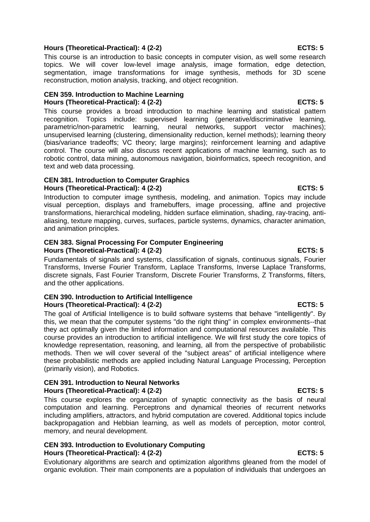# **Hours (Theoretical-Practical): 4 (2-2)** ECTS: 5

This course is an introduction to basic concepts in computer vision, as well some research topics. We will cover low-level image analysis, image formation, edge detection, segmentation, image transformations for image synthesis, methods for 3D scene reconstruction, motion analysis, tracking, and object recognition.

### **CEN 359. Introduction to Machine Learning Hours (Theoretical-Practical): 4 (2-2) ECTS: 5**

This course provides a broad introduction to machine learning and statistical pattern recognition. Topics include: supervised learning (generative/discriminative learning, parametric/non-parametric learning, neural networks, support vector machines); unsupervised learning (clustering, dimensionality reduction, kernel methods); learning theory (bias/variance tradeoffs; VC theory; large margins); reinforcement learning and adaptive control. The course will also discuss recent applications of machine learning, such as to robotic control, data mining, autonomous navigation, bioinformatics, speech recognition, and text and web data processing.

### **CEN 381. Introduction to Computer Graphics Hours (Theoretical-Practical): 4 (2-2)** ECTS: 5

Introduction to computer image synthesis, modeling, and animation. Topics may include visual perception, displays and framebuffers, image processing, affine and projective transformations, hierarchical modeling, hidden surface elimination, shading, ray-tracing, antialiasing, texture mapping, curves, surfaces, particle systems, dynamics, character animation, and animation principles.

### **CEN 383. Signal Processing For Computer Engineering Hours (Theoretical-Practical): 4 (2-2)** ECTS: 5

Fundamentals of signals and systems, classification of signals, continuous signals, Fourier Transforms, Inverse Fourier Transform, Laplace Transforms, Inverse Laplace Transforms, discrete signals, Fast Fourier Transform, Discrete Fourier Transforms, Z Transforms, filters, and the other applications.

### **CEN 390. Introduction to Artificial Intelligence Hours (Theoretical-Practical): 4 (2-2) ECTS: 5**

The goal of Artificial Intelligence is to build software systems that behave "intelligently". By this, we mean that the computer systems "do the right thing" in complex environments--that they act optimally given the limited information and computational resources available. This course provides an introduction to artificial intelligence. We will first study the core topics of knowledge representation, reasoning, and learning, all from the perspective of probabilistic methods. Then we will cover several of the "subject areas" of artificial intelligence where these probabilistic methods are applied including Natural Language Processing, Perception (primarily vision), and Robotics.

### **CEN 391. Introduction to Neural Networks Hours (Theoretical-Practical): 4 (2-2) ECTS: 5**

This course explores the organization of synaptic connectivity as the basis of neural computation and learning. Perceptrons and dynamical theories of recurrent networks including amplifiers, attractors, and hybrid computation are covered. Additional topics include backpropagation and Hebbian learning, as well as models of perception, motor control, memory, and neural development.

### **CEN 393. Introduction to Evolutionary Computing Hours (Theoretical-Practical): 4 (2-2) ECTS: 5**

Evolutionary algorithms are search and optimization algorithms gleaned from the model of organic evolution. Their main components are a population of individuals that undergoes an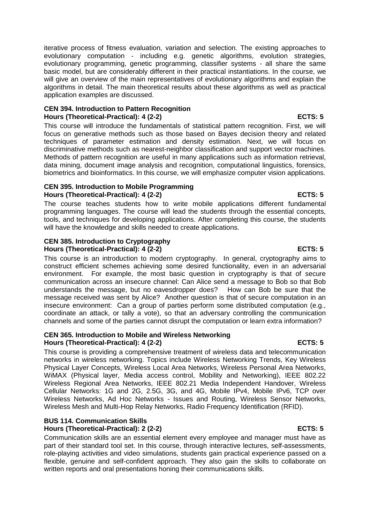iterative process of fitness evaluation, variation and selection. The existing approaches to evolutionary computation - including e.g. genetic algorithms, evolution strategies, evolutionary programming, genetic programming, classifier systems - all share the same basic model, but are considerably different in their practical instantiations. In the course, we will give an overview of the main representatives of evolutionary algorithms and explain the algorithms in detail. The main theoretical results about these algorithms as well as practical application examples are discussed.

### **CEN 394. Introduction to Pattern Recognition Hours (Theoretical-Practical): 4 (2-2) ECTS: 5**

This course will introduce the fundamentals of statistical pattern recognition. First, we will focus on generative methods such as those based on Bayes decision theory and related techniques of parameter estimation and density estimation. Next, we will focus on discriminative methods such as nearest-neighbor classification and support vector machines. Methods of pattern recognition are useful in many applications such as information retrieval, data mining, document image analysis and recognition, computational linguistics, forensics, biometrics and bioinformatics. In this course, we will emphasize computer vision applications.

### **CEN 395. Introduction to Mobile Programming Hours (Theoretical-Practical): 4 (2-2) ECTS: 5**

The course teaches students how to write mobile applications different fundamental programming languages. The course will lead the students through the essential concepts, tools, and techniques for developing applications. After completing this course, the students will have the knowledge and skills needed to create applications.

### **CEN 385. Introduction to Cryptography Hours (Theoretical-Practical): 4 (2-2) ECTS: 5**

This course is an introduction to modern cryptography. In general, cryptography aims to construct efficient schemes achieving some desired functionality, even in an adversarial environment. For example, the most basic question in cryptography is that of secure communication across an insecure channel: Can Alice send a message to Bob so that Bob understands the message, but no eavesdropper does? How can Bob be sure that the message received was sent by Alice? Another question is that of secure computation in an insecure environment: Can a group of parties perform some distributed computation (e.g., coordinate an attack, or tally a vote), so that an adversary controlling the communication channels and some of the parties cannot disrupt the computation or learn extra information?

### **CEN 365. Introduction to Mobile and Wireless Networking Hours (Theoretical-Practical): 4 (2-2) ECTS: 5**

This course is providing a comprehensive treatment of wireless data and telecommunication networks in wireless networking. Topics include Wireless Networking Trends, Key Wireless Physical Layer Concepts, Wireless Local Area Networks, Wireless Personal Area Networks, WiMAX (Physical layer, Media access control, Mobility and Networking), IEEE 802.22 Wireless Regional Area Networks, IEEE 802.21 Media Independent Handover, Wireless Cellular Networks: 1G and 2G, 2.5G, 3G, and 4G, Mobile IPv4, Mobile IPv6, TCP over Wireless Networks, Ad Hoc Networks - Issues and Routing, Wireless Sensor Networks, Wireless Mesh and Multi-Hop Relay Networks, Radio Frequency Identification (RFID).

### **BUS 114. Communication Skills Hours (Theoretical-Practical): 2 (2-2) ECTS: 5**

Communication skills are an essential element every employee and manager must have as part of their standard tool set. In this course, through interactive lectures, self-assessments, role-playing activities and video simulations, students gain practical experience passed on a flexible, genuine and self-confident approach. They also gain the skills to collaborate on written reports and oral presentations honing their communications skills.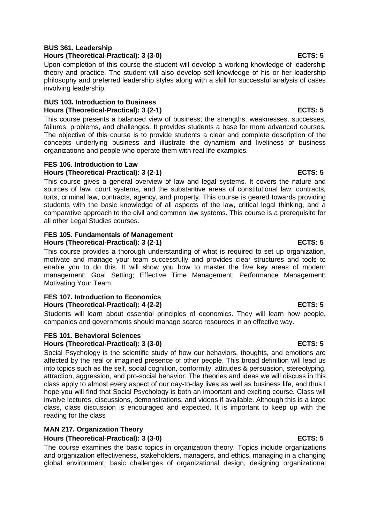### **BUS 361. Leadership Hours (Theoretical-Practical): 3 (3-0) ECTS: 5**

Upon completion of this course the student will develop a working knowledge of leadership theory and practice. The student will also develop self-knowledge of his or her leadership philosophy and preferred leadership styles along with a skill for successful analysis of cases involving leadership.

# **BUS 103. Introduction to Business** Hours (Theoretical-Practical): 3 (2-1) **ECTS: 5**

This course presents a balanced view of business; the strengths, weaknesses, successes, failures, problems, and challenges. It provides students a base for more advanced courses. The objective of this course is to provide students a clear and complete description of the concepts underlying business and illustrate the dynamism and liveliness of business organizations and people who operate them with real life examples.

# **FES 106. Introduction to Law Hours (Theoretical-Practical): 3 (2-1) ECTS: 5**

This course gives a general overview of law and legal systems. It covers the nature and sources of law, court systems, and the substantive areas of constitutional law, contracts, torts, criminal law, contracts, agency, and property. This course is geared towards providing students with the basic knowledge of all aspects of the law, critical legal thinking, and a comparative approach to the civil and common law systems. This course is a prerequisite for all other Legal Studies courses.

# **FES 105. Fundamentals of Management**

# Hours (Theoretical-Practical): 3 (2-1) **ECTS: 5**

This course provides a thorough understanding of what is required to set up organization, motivate and manage your team successfully and provides clear structures and tools to enable you to do this. It will show you how to master the five key areas of modern management: Goal Setting; Effective Time Management; Performance Management; Motivating Your Team.

### **FES 107. Introduction to Economics Hours (Theoretical-Practical): 4 (2-2) ECTS: 5**

Students will learn about essential principles of economics. They will learn how people, companies and governments should manage scarce resources in an effective way.

# **FES 101. Behavioral Sciences**

# **Hours (Theoretical-Practical): 3 (3-0) ECTS: 5**

Social Psychology is the scientific study of how our behaviors, thoughts, and emotions are affected by the real or imagined presence of other people. This broad definition will lead us into topics such as the self, social cognition, conformity, attitudes & persuasion, stereotyping, attraction, aggression, and pro-social behavior. The theories and ideas we will discuss in this class apply to almost every aspect of our day-to-day lives as well as business life, and thus I hope you will find that Social Psychology is both an important and exciting course. Class will involve lectures, discussions, demonstrations, and videos if available. Although this is a large class, class discussion is encouraged and expected. It is important to keep up with the reading for the class

# **MAN 217. Organization Theory**

# **Hours (Theoretical-Practical): 3 (3-0) ECTS: 5**

The course examines the basic topics in organization theory. Topics include organizations and organization effectiveness, stakeholders, managers, and ethics, managing in a changing global environment, basic challenges of organizational design, designing organizational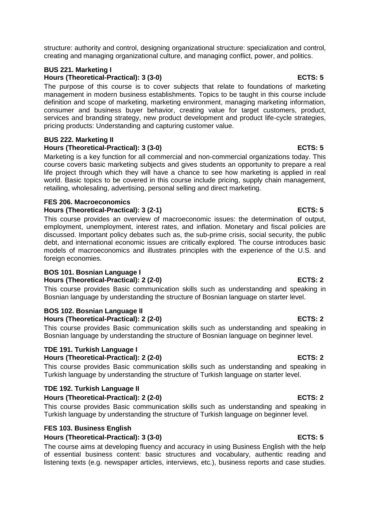structure: authority and control, designing organizational structure: specialization and control, creating and managing organizational culture, and managing conflict, power, and politics.

### **BUS 221. Marketing I** Hours (Theoretical-Practical): 3 (3-0) **ECTS: 5** ECTS: 5

The purpose of this course is to cover subjects that relate to foundations of marketing management in modern business establishments. Topics to be taught in this course include definition and scope of marketing, marketing environment, managing marketing information, consumer and business buyer behavior, creating value for target customers, product, services and branding strategy, new product development and product life-cycle strategies, pricing products: Understanding and capturing customer value.

### **BUS 222. Marketing II Hours (Theoretical-Practical): 3 (3-0) ECTS: 5**

Marketing is a key function for all commercial and non-commercial organizations today. This course covers basic marketing subjects and gives students an opportunity to prepare a real life project through which they will have a chance to see how marketing is applied in real world. Basic topics to be covered in this course include pricing, supply chain management, retailing, wholesaling, advertising, personal selling and direct marketing.

# **FES 206. Macroeconomics**

# **Hours (Theoretical-Practical): 3 (2-1) ECTS: 5**

This course provides an overview of macroeconomic issues: the determination of output, employment, unemployment, interest rates, and inflation. Monetary and fiscal policies are discussed. Important policy debates such as, the sub-prime crisis, social security, the public debt, and international economic issues are critically explored. The course introduces basic models of macroeconomics and illustrates principles with the experience of the U.S. and foreign economies.

### **BOS 101. Bosnian Language I**

### **Hours (Theoretical-Practical): 2 (2-0) ECTS: 2**

This course provides Basic communication skills such as understanding and speaking in Bosnian language by understanding the structure of Bosnian language on starter level.

### **BOS 102. Bosnian Language II** Hours (Theoretical-Practical): 2 (2-0) **ECTS: 2**

This course provides Basic communication skills such as understanding and speaking in Bosnian language by understanding the structure of Bosnian language on beginner level.

# **TDE 191. Turkish Language I**

### **Hours (Theoretical-Practical): 2 (2-0) ECTS: 2**

This course provides Basic communication skills such as understanding and speaking in Turkish language by understanding the structure of Turkish language on starter level.

### **TDE 192. Turkish Language II Hours (Theoretical-Practical): 2 (2-0) ECTS: 2**

This course provides Basic communication skills such as understanding and speaking in Turkish language by understanding the structure of Turkish language on beginner level.

# **FES 103. Business English**

### **Hours (Theoretical-Practical): 3 (3-0) ECTS: 5**

The course aims at developing fluency and accuracy in using Business English with the help of essential business content: basic structures and vocabulary, authentic reading and listening texts (e.g. newspaper articles, interviews, etc.), business reports and case studies.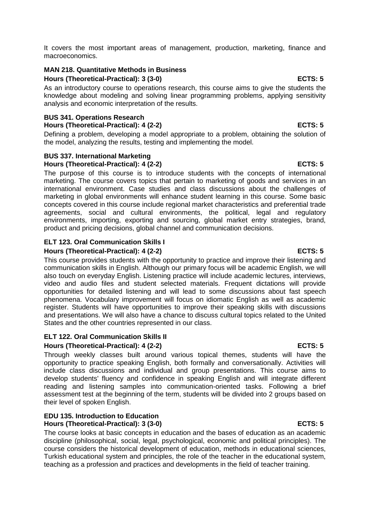It covers the most important areas of management, production, marketing, finance and macroeconomics.

### **MAN 218. Quantitative Methods in Business Hours (Theoretical-Practical): 3 (3-0) ECTS: 5**

As an introductory course to operations research, this course aims to give the students the knowledge about modeling and solving linear programming problems, applying sensitivity analysis and economic interpretation of the results.

### **BUS 341. Operations Research**

### **Hours (Theoretical-Practical): 4 (2-2)** ECTS: 5

Defining a problem, developing a model appropriate to a problem, obtaining the solution of the model, analyzing the results, testing and implementing the model.

### **BUS 337. International Marketing Hours (Theoretical-Practical): 4 (2-2) ECTS: 5**

The purpose of this course is to introduce students with the concepts of international marketing. The course covers topics that pertain to marketing of goods and services in an international environment. Case studies and class discussions about the challenges of marketing in global environments will enhance student learning in this course. Some basic concepts covered in this course include regional market characteristics and preferential trade agreements, social and cultural environments, the political, legal and regulatory environments, importing, exporting and sourcing, global market entry strategies, brand, product and pricing decisions, global channel and communication decisions.

### **ELT 123. Oral Communication Skills I Hours (Theoretical-Practical): 4 (2-2) ECTS: 5**

This course provides students with the opportunity to practice and improve their listening and communication skills in English. Although our primary focus will be academic English, we will also touch on everyday English. Listening practice will include academic lectures, interviews, video and audio files and student selected materials. Frequent dictations will provide opportunities for detailed listening and will lead to some discussions about fast speech phenomena. Vocabulary improvement will focus on idiomatic English as well as academic register. Students will have opportunities to improve their speaking skills with discussions and presentations. We will also have a chance to discuss cultural topics related to the United States and the other countries represented in our class.

### **ELT 122. Oral Communication Skills II**

### **Hours (Theoretical-Practical): 4 (2-2) ECTS: 5**

Through weekly classes built around various topical themes, students will have the opportunity to practice speaking English, both formally and conversationally. Activities will include class discussions and individual and group presentations. This course aims to develop students' fluency and confidence in speaking English and will integrate different reading and listening samples into communication-oriented tasks. Following a brief assessment test at the beginning of the term, students will be divided into 2 groups based on their level of spoken English.

### **EDU 135. Introduction to Education** Hours (Theoretical-Practical): 3 (3-0) **ECTS: 5** ECTS: 5

The course looks at basic concepts in education and the bases of education as an academic discipline (philosophical, social, legal, psychological, economic and political principles). The course considers the historical development of education, methods in educational sciences, Turkish educational system and principles, the role of the teacher in the educational system, teaching as a profession and practices and developments in the field of teacher training.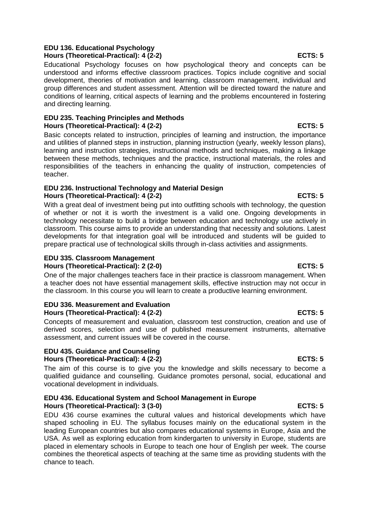### **EDU 136. Educational Psychology Hours (Theoretical-Practical): 4 (2-2) ECTS: 5**

Educational Psychology focuses on how psychological theory and concepts can be understood and informs effective classroom practices. Topics include cognitive and social development, theories of motivation and learning, classroom management, individual and group differences and student assessment. Attention will be directed toward the nature and conditions of learning, critical aspects of learning and the problems encountered in fostering and directing learning.

### **EDU 235. Teaching Principles and Methods Hours (Theoretical-Practical): 4 (2-2) ECTS: 5**

Basic concepts related to instruction, principles of learning and instruction, the importance and utilities of planned steps in instruction, planning instruction (yearly, weekly lesson plans), learning and instruction strategies, instructional methods and techniques, making a linkage between these methods, techniques and the practice, instructional materials, the roles and responsibilities of the teachers in enhancing the quality of instruction, competencies of teacher.

### **EDU 236. Instructional Technology and Material Design Hours (Theoretical-Practical): 4 (2-2) ECTS: 5**

With a great deal of investment being put into outfitting schools with technology, the question of whether or not it is worth the investment is a valid one. Ongoing developments in technology necessitate to build a bridge between education and technology use actively in classroom. This course aims to provide an understanding that necessity and solutions. Latest developments for that integration goal will be introduced and students will be guided to prepare practical use of technological skills through in-class activities and assignments.

### **EDU 335. Classroom Management Hours (Theoretical-Practical): 2 (2-0) ECTS: 5**

One of the major challenges teachers face in their practice is classroom management. When a teacher does not have essential management skills, effective instruction may not occur in the classroom. In this course you will learn to create a productive learning environment.

# **EDU 336. Measurement and Evaluation**

**Hours (Theoretical-Practical): 4 (2-2) ECTS: 5**

Concepts of measurement and evaluation, classroom test construction, creation and use of derived scores, selection and use of published measurement instruments, alternative assessment, and current issues will be covered in the course.

### **EDU 435. Guidance and Counseling Hours (Theoretical-Practical): 4 (2-2) ECTS: 5**

The aim of this course is to give you the knowledge and skills necessary to become a qualified guidance and counselling. Guidance promotes personal, social, educational and vocational development in individuals.

### **EDU 436. Educational System and School Management in Europe Hours (Theoretical-Practical): 3 (3-0) ECTS: 5**

EDU 436 course examines the cultural values and historical developments which have shaped schooling in EU. The syllabus focuses mainly on the educational system in the leading European countries but also compares educational systems in Europe, Asia and the USA. As well as exploring education from kindergarten to university in Europe, students are placed in elementary schools in Europe to teach one hour of English per week. The course combines the theoretical aspects of teaching at the same time as providing students with the chance to teach.